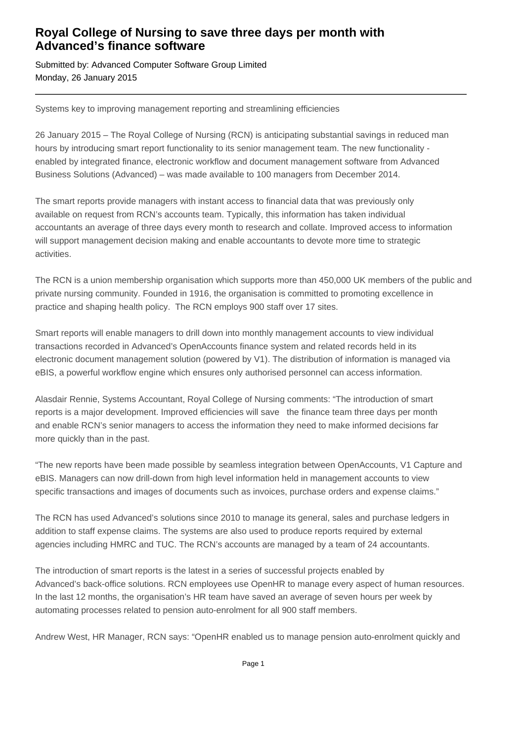## **Royal College of Nursing to save three days per month with Advanced's finance software**

Submitted by: Advanced Computer Software Group Limited Monday, 26 January 2015

Systems key to improving management reporting and streamlining efficiencies

26 January 2015 – The Royal College of Nursing (RCN) is anticipating substantial savings in reduced man hours by introducing smart report functionality to its senior management team. The new functionality enabled by integrated finance, electronic workflow and document management software from Advanced Business Solutions (Advanced) – was made available to 100 managers from December 2014.

The smart reports provide managers with instant access to financial data that was previously only available on request from RCN's accounts team. Typically, this information has taken individual accountants an average of three days every month to research and collate. Improved access to information will support management decision making and enable accountants to devote more time to strategic activities.

The RCN is a union membership organisation which supports more than 450,000 UK members of the public and private nursing community. Founded in 1916, the organisation is committed to promoting excellence in practice and shaping health policy. The RCN employs 900 staff over 17 sites.

Smart reports will enable managers to drill down into monthly management accounts to view individual transactions recorded in Advanced's OpenAccounts finance system and related records held in its electronic document management solution (powered by V1). The distribution of information is managed via eBIS, a powerful workflow engine which ensures only authorised personnel can access information.

Alasdair Rennie, Systems Accountant, Royal College of Nursing comments: "The introduction of smart reports is a major development. Improved efficiencies will save the finance team three days per month and enable RCN's senior managers to access the information they need to make informed decisions far more quickly than in the past.

"The new reports have been made possible by seamless integration between OpenAccounts, V1 Capture and eBIS. Managers can now drill-down from high level information held in management accounts to view specific transactions and images of documents such as invoices, purchase orders and expense claims."

The RCN has used Advanced's solutions since 2010 to manage its general, sales and purchase ledgers in addition to staff expense claims. The systems are also used to produce reports required by external agencies including HMRC and TUC. The RCN's accounts are managed by a team of 24 accountants.

The introduction of smart reports is the latest in a series of successful projects enabled by Advanced's back-office solutions. RCN employees use OpenHR to manage every aspect of human resources. In the last 12 months, the organisation's HR team have saved an average of seven hours per week by automating processes related to pension auto-enrolment for all 900 staff members.

Andrew West, HR Manager, RCN says: "OpenHR enabled us to manage pension auto-enrolment quickly and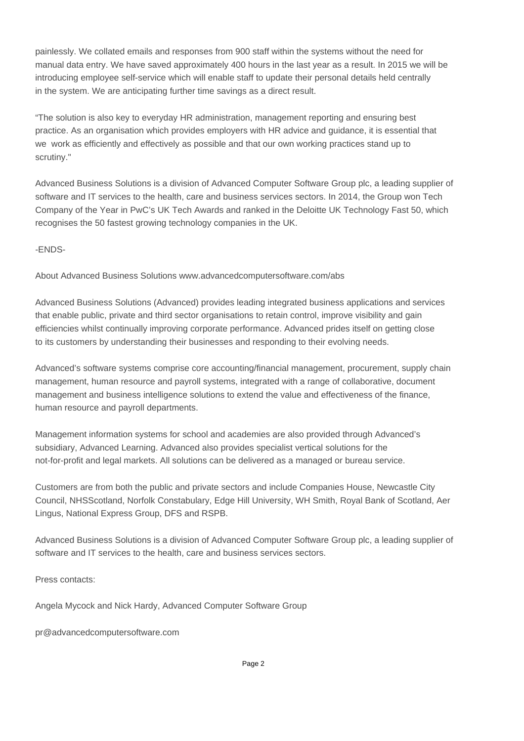painlessly. We collated emails and responses from 900 staff within the systems without the need for manual data entry. We have saved approximately 400 hours in the last year as a result. In 2015 we will be introducing employee self-service which will enable staff to update their personal details held centrally in the system. We are anticipating further time savings as a direct result.

"The solution is also key to everyday HR administration, management reporting and ensuring best practice. As an organisation which provides employers with HR advice and guidance, it is essential that we work as efficiently and effectively as possible and that our own working practices stand up to scrutiny."

Advanced Business Solutions is a division of Advanced Computer Software Group plc, a leading supplier of software and IT services to the health, care and business services sectors. In 2014, the Group won Tech Company of the Year in PwC's UK Tech Awards and ranked in the Deloitte UK Technology Fast 50, which recognises the 50 fastest growing technology companies in the UK.

-ENDS-

About Advanced Business Solutions www.advancedcomputersoftware.com/abs

Advanced Business Solutions (Advanced) provides leading integrated business applications and services that enable public, private and third sector organisations to retain control, improve visibility and gain efficiencies whilst continually improving corporate performance. Advanced prides itself on getting close to its customers by understanding their businesses and responding to their evolving needs.

Advanced's software systems comprise core accounting/financial management, procurement, supply chain management, human resource and payroll systems, integrated with a range of collaborative, document management and business intelligence solutions to extend the value and effectiveness of the finance, human resource and payroll departments.

Management information systems for school and academies are also provided through Advanced's subsidiary, Advanced Learning. Advanced also provides specialist vertical solutions for the not-for-profit and legal markets. All solutions can be delivered as a managed or bureau service.

Customers are from both the public and private sectors and include Companies House, Newcastle City Council, NHSScotland, Norfolk Constabulary, Edge Hill University, WH Smith, Royal Bank of Scotland, Aer Lingus, National Express Group, DFS and RSPB.

Advanced Business Solutions is a division of Advanced Computer Software Group plc, a leading supplier of software and IT services to the health, care and business services sectors.

Press contacts:

Angela Mycock and Nick Hardy, Advanced Computer Software Group

pr@advancedcomputersoftware.com